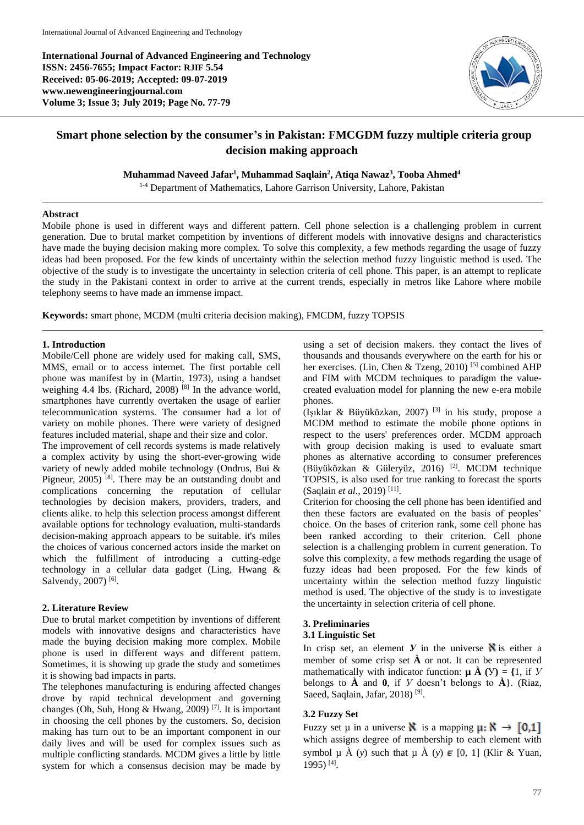**International Journal of Advanced Engineering and Technology ISSN: 2456-7655; Impact Factor: RJIF 5.54 Received: 05-06-2019; Accepted: 09-07-2019 www.newengineeringjournal.com Volume 3; Issue 3; July 2019; Page No. 77-79**



# **Smart phone selection by the consumer's in Pakistan: FMCGDM fuzzy multiple criteria group decision making approach**

**Muhammad Naveed Jafar<sup>1</sup> , Muhammad Saqlain<sup>2</sup> , Atiqa Nawaz<sup>3</sup> , Tooba Ahmed<sup>4</sup>**

<sup>1-4</sup> Department of Mathematics, Lahore Garrison University, Lahore, Pakistan

### **Abstract**

Mobile phone is used in different ways and different pattern. Cell phone selection is a challenging problem in current generation. Due to brutal market competition by inventions of different models with innovative designs and characteristics have made the buying decision making more complex. To solve this complexity, a few methods regarding the usage of fuzzy ideas had been proposed. For the few kinds of uncertainty within the selection method fuzzy linguistic method is used. The objective of the study is to investigate the uncertainty in selection criteria of cell phone. This paper, is an attempt to replicate the study in the Pakistani context in order to arrive at the current trends, especially in metros like Lahore where mobile telephony seems to have made an immense impact.

**Keywords:** smart phone, MCDM (multi criteria decision making), FMCDM, fuzzy TOPSIS

### **1. Introduction**

Mobile/Cell phone are widely used for making call, SMS, MMS, email or to access internet. The first portable cell phone was manifest by in (Martin, 1973), using a handset weighing 4.4 lbs. (Richard, 2008)<sup>[8]</sup> In the advance world, smartphones have currently overtaken the usage of earlier telecommunication systems. The consumer had a lot of variety on mobile phones. There were variety of designed features included material, shape and their size and color.

The improvement of cell records systems is made relatively a complex activity by using the short-ever-growing wide variety of newly added mobile technology (Ondrus, Bui & Pigneur,  $2005$ )<sup>[8]</sup>. There may be an outstanding doubt and complications concerning the reputation of cellular technologies by decision makers, providers, traders, and clients alike. to help this selection process amongst different available options for technology evaluation, multi-standards decision-making approach appears to be suitable. it's miles the choices of various concerned actors inside the market on which the fulfillment of introducing a cutting-edge technology in a cellular data gadget (Ling, Hwang & Salvendy, 2007)<sup>[6]</sup>.

### **2. Literature Review**

Due to brutal market competition by inventions of different models with innovative designs and characteristics have made the buying decision making more complex. Mobile phone is used in different ways and different pattern. Sometimes, it is showing up grade the study and sometimes it is showing bad impacts in parts.

The telephones manufacturing is enduring affected changes drove by rapid technical development and governing changes (Oh, Suh, Hong & Hwang, 2009) [7] . It is important in choosing the cell phones by the customers. So, decision making has turn out to be an important component in our daily lives and will be used for complex issues such as multiple conflicting standards. MCDM gives a little by little system for which a consensus decision may be made by

using a set of decision makers. they contact the lives of thousands and thousands everywhere on the earth for his or her exercises. (Lin, Chen & Tzeng, 2010)<sup>[5]</sup> combined AHP and FIM with MCDM techniques to paradigm the valuecreated evaluation model for planning the new e-era mobile phones.

(Işıklar & Büyüközkan, 2007) [3] in his study, propose a MCDM method to estimate the mobile phone options in respect to the users' preferences order. MCDM approach with group decision making is used to evaluate smart phones as alternative according to consumer preferences (Büyüközkan & Güleryüz, 2016) [2] . MCDM technique TOPSIS, is also used for true ranking to forecast the sports (Saqlain *et al.*, 2019) [11] .

Criterion for choosing the cell phone has been identified and then these factors are evaluated on the basis of peoples' choice. On the bases of criterion rank, some cell phone has been ranked according to their criterion. Cell phone selection is a challenging problem in current generation. To solve this complexity, a few methods regarding the usage of fuzzy ideas had been proposed. For the few kinds of uncertainty within the selection method fuzzy linguistic method is used. The objective of the study is to investigate the uncertainty in selection criteria of cell phone.

#### **3. Preliminaries 3.1 Linguistic Set**

In crisp set, an element  $\bf{V}$  in the universe  $\bf{N}$  is either a member of some crisp set  $\hat{A}$  or not. It can be represented mathematically with indicator function:  $\boldsymbol{\mu} \hat{\boldsymbol{\Lambda}}$  (V) = {1, if *Y* belongs to **À** and **0**, if *У* doesn't belongs to **À**}. (Riaz, Saeed, Saqlain, Jafar, 2018)<sup>[9]</sup>.

### **3.2 Fuzzy Set**

Fuzzy set  $\mu$  in a universe **N** is a mapping  $\mu: \mathbb{N} \to [0,1]$ which assigns degree of membership to each element with symbol  $\mu$   $\hat{A}$  (*y*) such that  $\mu$   $\hat{A}$  (*y*)  $\in$  [0, 1] (Klir & Yuan, 1995) [4] .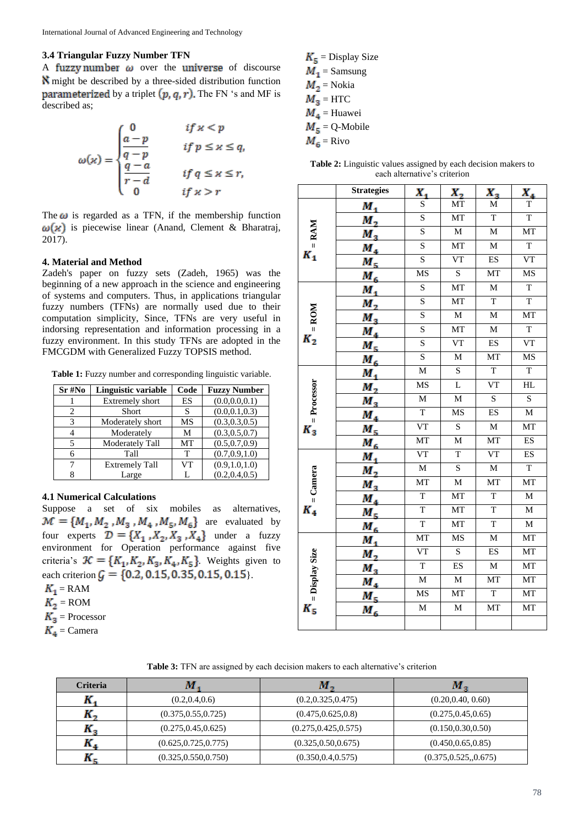### **3.4 Triangular Fuzzy Number TFN**

A fuzzy number  $\omega$  over the universe of discourse might be described by a three-sided distribution function **parameterized** by a triplet  $(p, q, r)$ . The FN 's and MF is described as;

$$
\omega(x) = \begin{cases} 0 & \text{if } x < p \\ \frac{a-p}{q-p} & \text{if } p \leq x \leq q, \\ \frac{q-a}{r-d} & \text{if } q \leq x \leq r, \\ 0 & \text{if } x > r \end{cases}
$$

The  $\omega$  is regarded as a TFN, if the membership function  $\omega(x)$  is piecewise linear (Anand, Clement & Bharatraj, 2017).

#### **4. Material and Method**

Zadeh's paper on fuzzy sets (Zadeh, 1965) was the beginning of a new approach in the science and engineering of systems and computers. Thus, in applications triangular fuzzy numbers (TFNs) are normally used due to their computation simplicity, Since, TFNs are very useful in indorsing representation and information processing in a fuzzy environment. In this study TFNs are adopted in the FMCGDM with Generalized Fuzzy TOPSIS method.

Table 1: Fuzzy number and corresponding linguistic variable.

| $Sr\#No$ | Linguistic variable    | Code      | <b>Fuzzy Number</b> |
|----------|------------------------|-----------|---------------------|
|          | <b>Extremely short</b> | <b>ES</b> | (0.0.0.0.0.1)       |
| 2        | <b>Short</b>           | S         | (0.0, 0.1, 0.3)     |
| 3        | Moderately short       | MS        | (0.3, 0.3, 0.5)     |
| 4        | Moderately             | M         | (0.3, 0.5, 0.7)     |
| 5        | Moderately Tall        | MT        | (0.5, 0.7, 0.9)     |
| 6        | Tall                   | T         | (0.7, 0.9, 1.0)     |
|          | <b>Extremely Tall</b>  | VT        | (0.9, 1.0, 1.0)     |
| 8        | Large                  | L         | (0.2, 0.4, 0.5)     |

### **4.1 Numerical Calculations**

Suppose a set of six mobiles as alternatives,  $\mathcal{M} = \{M_1, M_2, M_3, M_4, M_5, M_6\}$  are evaluated by four experts  $\mathcal{D} = \{X_1, X_2, X_3, X_4\}$  under a fuzzy environment for Operation performance against five criteria's  $K = \{K_1, K_2, K_3, K_4, K_5\}$ . Weights given to each criterion  $G = \{0.2, 0.15, 0.35, 0.15, 0.15\}.$ 

- $K_1 =$ RAM
- $K_2$  = ROM
- $K<sub>3</sub>$  = Processor
- $K_4$  = Camera

 $K_5$  = Display Size  $M_1$  = Samsung  $M_2$  = Nokia  $M_3$  = HTC  $M<sub>4</sub>$  = Huawei  $M<sub>5</sub> = Q-Mobile$  $M<sub>6</sub>$  = Rivo

|                           | <b>Strategies</b>                              | х,                      | $X_{2}$                 | $X_3$                   | $X_{4}$                 |
|---------------------------|------------------------------------------------|-------------------------|-------------------------|-------------------------|-------------------------|
| $=$ <b>RAM</b><br>$K_{1}$ | $M_{1}$                                        | S                       | MT                      | $\mathbf M$             | $\mathbf T$             |
|                           | $M_{2}$                                        | $\overline{\mathbf{S}}$ | MT                      | $\overline{T}$          | $\overline{T}$          |
|                           | $\frac{M_3}{M_4}$<br>$\frac{M_4}{M_5}$         | $\overline{\mathbf{S}}$ | $\overline{M}$          | $\overline{M}$          | MT                      |
|                           |                                                | $\overline{\mathbf{S}}$ | MT                      | $\overline{M}$          | $\overline{T}$          |
|                           |                                                | $\overline{\mathbf{s}}$ | $V$ T                   | ES                      | $V\overline{T}$         |
|                           | $M_{6}$                                        | MS                      | $\overline{\mathbf{S}}$ | MT                      | $\overline{\text{MS}}$  |
|                           | $M_{1}$                                        | $\overline{\mathbf{S}}$ | MT                      | $\overline{M}$          | $\overline{T}$          |
|                           | $\overline{M}_2$                               | $\overline{\mathbf{S}}$ | MT                      | $\overline{T}$          | $\overline{\mathrm{T}}$ |
|                           | $M_{3}$                                        | $\overline{\mathbf{S}}$ | $\overline{\mathbf{M}}$ | $\overline{M}$          | MT                      |
| $K_2 = \text{ROM}$        | $\frac{M_4}{M_5}$                              | $\overline{\mathbf{S}}$ | MT                      | $\overline{M}$          | $\overline{T}$          |
|                           |                                                | $\overline{\mathbf{S}}$ | VT                      | ES                      | VT                      |
|                           | $M_{6}$                                        | $\overline{\mathbf{S}}$ | $\overline{M}$          | MT                      | MS                      |
|                           | $M_{1}$                                        | $\overline{\mathbf{M}}$ | $\rm S$                 | $\overline{\mathrm{T}}$ | $\overline{\mathrm{T}}$ |
| $K_3$ = Processor         | $\overline{M}_2$                               | MS                      | $\overline{\mathsf{L}}$ | VT                      | HL                      |
|                           | $M_{3}$                                        | $\overline{\mathbf{M}}$ | $\overline{M}$          | $\overline{\mathbf{S}}$ | $\overline{\mathbf{S}}$ |
|                           | $\frac{M_4}{M_5}$                              | $\overline{T}$          | MS                      | ES                      | $\overline{\mathbf{M}}$ |
|                           |                                                | $V\overline{T}$         | $\overline{\mathbf{S}}$ | $\overline{M}$          | MT                      |
|                           | $M_{6}$                                        | MT                      | $\overline{M}$          | MT                      | ES                      |
|                           | $\overline{M}_{1}$                             | $\overline{\text{VT}}$  | $\overline{T}$          | <b>VT</b>               | <b>ES</b>               |
|                           | $M_{2}$                                        | $\overline{M}$          | S                       | $\overline{M}$          | $\overline{\mathrm{T}}$ |
|                           | $M_{3}$                                        | MT                      | $\overline{M}$          | MT                      | MT                      |
| $K_4$ = Camera            | $\frac{M_4}{M_5}$                              | $\overline{T}$          | MT                      | $\overline{T}$          | $\overline{\mathbf{M}}$ |
|                           |                                                | $\overline{T}$          | MT                      | $\overline{T}$          | $\overline{M}$          |
|                           | $M_{6}$                                        | $\overline{T}$          | MT                      | $\overline{T}$          | $\mathbf M$             |
|                           | $M_{1}$                                        | MT                      | <b>MS</b>               | $\overline{M}$          | MT                      |
| $K_s$ = Display Size      | М,                                             | $V\overline{T}$         | $\overline{\mathbf{S}}$ | ES                      | MT                      |
|                           | $M_{3}$                                        | $\overline{T}$          | ES                      | $\overline{\text{M}}$   | MT                      |
|                           | $\frac{M_{4}}{M_{5}}$<br>$\frac{M_{5}}{M_{6}}$ | $\overline{M}$          | $\overline{M}$          | MT                      | MT                      |
|                           |                                                | MS                      | MT                      | $\overline{T}$          | MT                      |
|                           |                                                | $\overline{\mathbf{M}}$ | $\overline{\mathbf{M}}$ | MT                      | MT                      |
|                           |                                                |                         |                         |                         |                         |

**Table 2:** Linguistic values assigned by each decision makers to each alternative's criterion

**Table 3:** TFN are assigned by each decision makers to each alternative's criterion

| <b>Criteria</b> | М                     | м.,                   | м.                    |
|-----------------|-----------------------|-----------------------|-----------------------|
|                 | (0.2, 0.4, 0.6)       | (0.2, 0.325, 0.475)   | (0.20, 0.40, 0.60)    |
| . .             | (0.375, 0.55, 0.725)  | (0.475, 0.625, 0.8)   | (0.275, 0.45, 0.65)   |
| л.,             | (0.275, 0.45, 0.625)  | (0.275, 0.425, 0.575) | (0.150, 0.30, 0.50)   |
|                 | (0.625, 0.725, 0.775) | (0.325, 0.50, 0.675)  | (0.450, 0.65, 0.85)   |
|                 | (0.325, 0.550, 0.750) | (0.350, 0.4, 0.575)   | (0.375, 0.525, 0.675) |